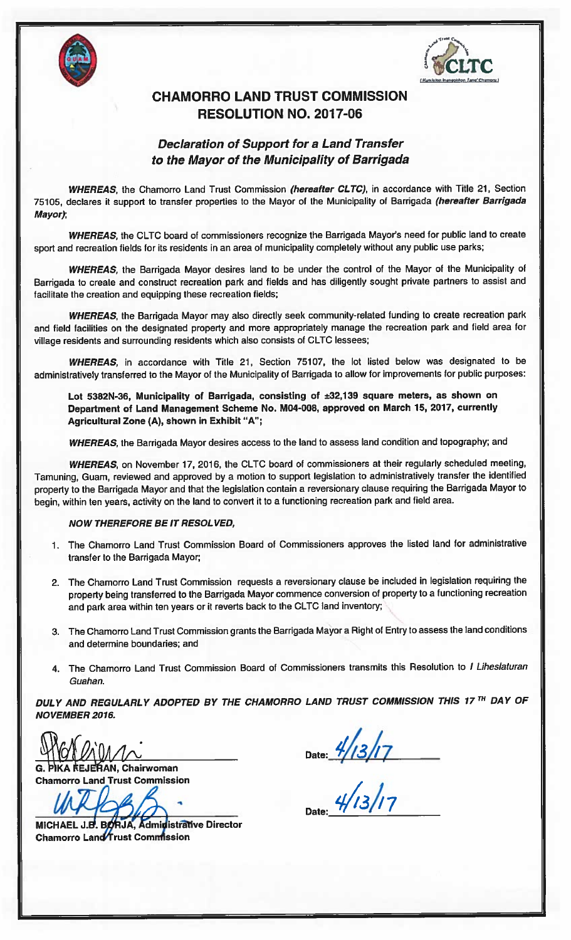



## CHAMORRO LAND TRUST COMMISSION RESOLUTION NO. 2017-06

## Declaration of Support for <sup>a</sup> Land Transfer to the Mayor of the Municipality of Barrigada

WHEREAS, the Chamorro Land Trust Commission (hereafter CLTC), in accordance with Title 21, Section 75105, declares it support to transfer properties to the Mayor of the Municipality of Barrigada (hereafter Barrigada Mayor);

WHEREAS, the CLTC board of commissioners recognize the Barrigada Mayor's need for public land to create spor<sup>t</sup> and recreation fields for its residents in an area of municipality completely without any public use parks;

WHEREAS, the Barrigada Mayor desires land to be under the control of the Mayor of the Municipality of Barrigada to create and construct recreation park and fields and has diligently sought private partners to assist and facilitate the creation and equipping these recreation fields;

WHEREAS, the Barrigada Mayor may also directly seek community-related funding to create recreation park and field facilities on the designated property and more appropriately manage the recreation park and field area for village residents and surrounding residents which also consists of CLTC lessees;

WHEREAS, in accordance with Title 21, Section 75107, the lot listed below was designated to be administratively transferred to the Mayor of the Municipality of Barrigada to allow for improvements for public purposes:

Lot 5382N-36, Municipality of Barrigada, consisting of ±32,139 square meters, as shown on Department of Land Management Scheme No. M04-008, approve<sup>d</sup> on March 15, 2017, currently Agricultural Zone (A), shown in Exhibit "A";

WHEREAS, the Barrigada Mayor desires access to the land to assess land condition and topography; and

WHEREAS, on November 17, 2016, the CLTC board of commissioners at their regularly scheduled meeting, Tamuning, Guam, reviewed and approve<sup>d</sup> by <sup>a</sup> motion to suppor<sup>t</sup> legislation to administratively transfer the identified property to the Barrigada Mayor and that the legislation contain <sup>a</sup> reversionary clause requiring the Barrigada Mayor to begin, within ten years, activity on the land to convert it to <sup>a</sup> functioning recreation park and field area.

## NOW THEREFORE BE IT RESOL VED,

- 1. The Chamorro Land Trust Commission Board of Commissioners approves the listed land for administrative transfer to the Barrigada Mayor;
- 2. The Chamorro Land Trust Commission requests <sup>a</sup> reversionary clause be included in legislation requiring the property being transferred to the Barrigada Mayor commence conversion of property to <sup>a</sup> functioning recreation and park area within ten years or it reverts back to the CLTC land inventory;
- 3. The Chamorro Land Trust Commission grants the Barrigada Mayor <sup>a</sup> Right of Entry to assess the land conditions and determine boundaries; and
- 4. The Chamorro Land Trust Commission Board of Commissioners transmits this Resolution to I Liheslaturan Guahan.

DULY AND REGULARLY ADOPTED BY THE CHAMORRO LAND TRUST COMMISSION THIS 17TH DAY OF NOVEMBER 2016.

**RAN, Chairwoman** Chamorro Land Trust Commission

 $WF666$ 

MICHAEL J.B. BORJA, Administrative Director Chamorro Land Trust Commission

Date: 4/13/17

 $\frac{4}{13}$ /17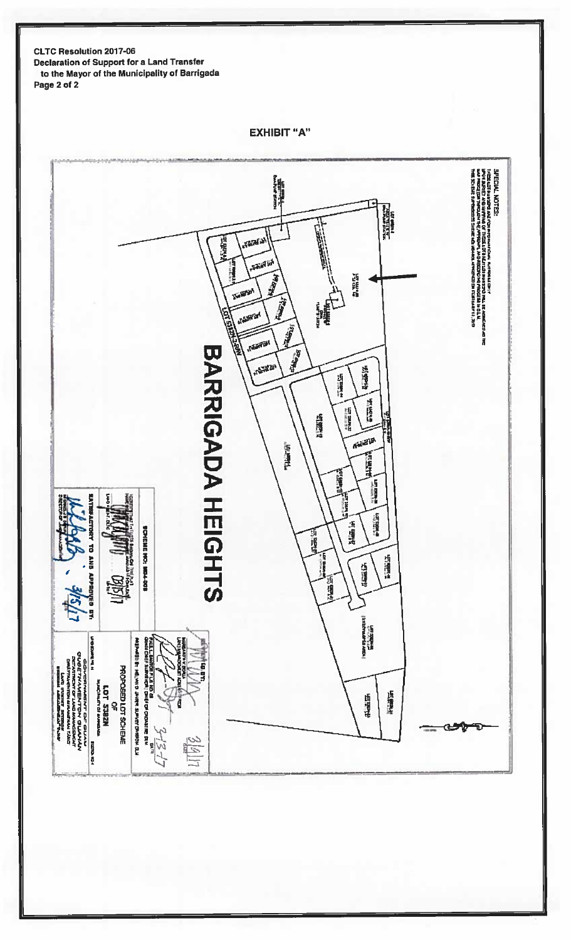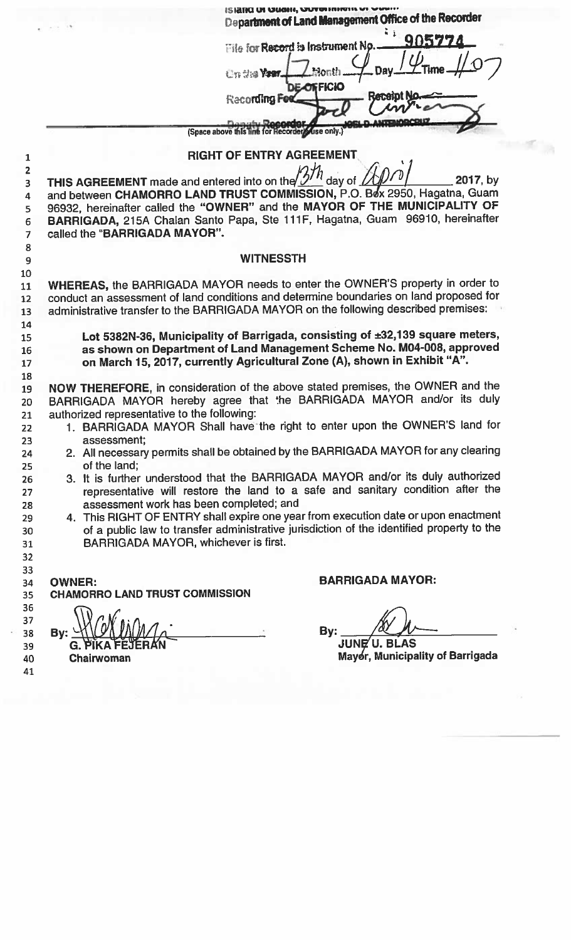|                                                  | Department of Land Management Office of the Recorder                                                                                                               |
|--------------------------------------------------|--------------------------------------------------------------------------------------------------------------------------------------------------------------------|
|                                                  | 905774                                                                                                                                                             |
|                                                  | <b>Elle for Record is Instrument No</b>                                                                                                                            |
|                                                  | <b>Children</b>                                                                                                                                                    |
|                                                  | <b>DE-OFFICIO</b><br>ranin                                                                                                                                         |
|                                                  | Recording F                                                                                                                                                        |
|                                                  | (Space above this line for Recorder) (use only.)                                                                                                                   |
|                                                  |                                                                                                                                                                    |
|                                                  | <b>RIGHT OF ENTRY AGREEMENT</b>                                                                                                                                    |
| THIS AGREEMENT made and entered into on the $2'$ | 2017, by<br>day of                                                                                                                                                 |
|                                                  | and between CHAMORRO LAND TRUST COMMISSION, P.O. Box 2950, Hagatna, Guam                                                                                           |
|                                                  | 96932, hereinafter called the "OWNER" and the MAYOR OF THE MUNICIPALITY OF<br>BARRIGADA, 215A Chalan Santo Papa, Ste 111F, Hagatna, Guam 96910, hereinafter        |
| called the "BARRIGADA MAYOR".                    |                                                                                                                                                                    |
|                                                  |                                                                                                                                                                    |
|                                                  | <b>WITNESSTH</b>                                                                                                                                                   |
|                                                  | WHEREAS, the BARRIGADA MAYOR needs to enter the OWNER'S property in order to                                                                                       |
|                                                  | conduct an assessment of land conditions and determine boundaries on land proposed for                                                                             |
|                                                  | administrative transfer to the BARRIGADA MAYOR on the following described premises:                                                                                |
|                                                  | Lot 5382N-36, Municipality of Barrigada, consisting of ±32,139 square meters,                                                                                      |
|                                                  | as shown on Department of Land Management Scheme No. M04-008, approved                                                                                             |
|                                                  | on March 15, 2017, currently Agricultural Zone (A), shown in Exhibit "A".                                                                                          |
|                                                  | NOW THEREFORE, in consideration of the above stated premises, the OWNER and the                                                                                    |
|                                                  | BARRIGADA MAYOR hereby agree that the BARRIGADA MAYOR and/or its duly                                                                                              |
| authorized representative to the following:      |                                                                                                                                                                    |
| assessment;                                      | 1. BARRIGADA MAYOR Shall have the right to enter upon the OWNER'S land for                                                                                         |
|                                                  | 2. All necessary permits shall be obtained by the BARRIGADA MAYOR for any clearing                                                                                 |
| of the land;                                     |                                                                                                                                                                    |
|                                                  | 3. It is further understood that the BARRIGADA MAYOR and/or its duly authorized<br>representative will restore the land to a safe and sanitary condition after the |
| assessment work has been completed; and          |                                                                                                                                                                    |
|                                                  | 4. This RIGHT OF ENTRY shall expire one year from execution date or upon enactment                                                                                 |
| <b>BARRIGADA MAYOR, whichever is first.</b>      | of a public law to transfer administrative jurisdiction of the identified property to the                                                                          |
|                                                  |                                                                                                                                                                    |
|                                                  |                                                                                                                                                                    |
| <b>OWNER:</b>                                    | <b>BARRIGADA MAYOR:</b>                                                                                                                                            |
| <b>CHAMORRO LAND TRUST COMMISSION</b>            |                                                                                                                                                                    |
|                                                  |                                                                                                                                                                    |
| By:                                              | By:<br><b>JUNE U. BLAS</b>                                                                                                                                         |
| G. PIKA FEJERAN<br>Chairwoman                    | Mayor, Municipality of Barrigada                                                                                                                                   |
|                                                  |                                                                                                                                                                    |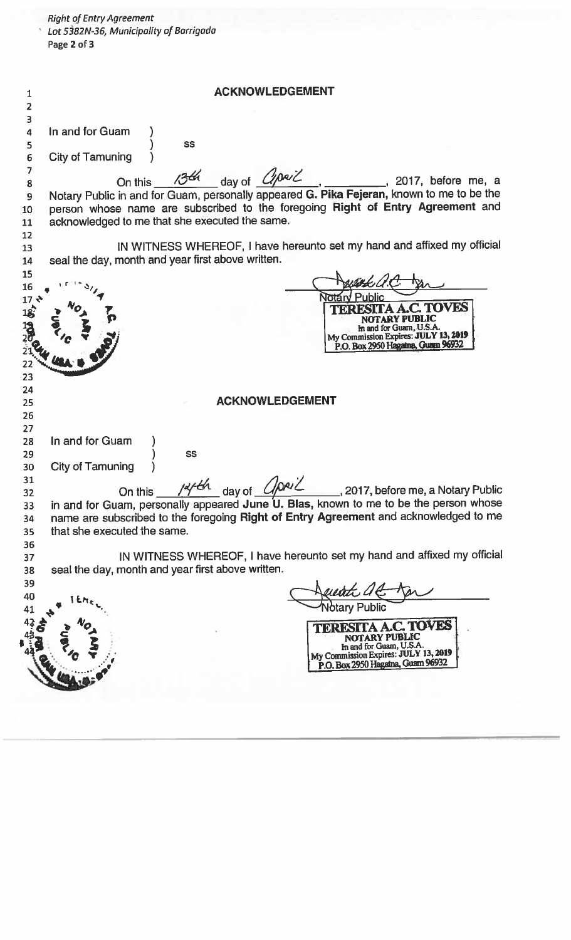|                                                       | <b>Right of Entry Agreement</b><br>Lot 5382N-36, Municipality of Barrigada<br>Page 2 of 3                                                                                                                                                                                                   |  |  |
|-------------------------------------------------------|---------------------------------------------------------------------------------------------------------------------------------------------------------------------------------------------------------------------------------------------------------------------------------------------|--|--|
| 1<br>2                                                | <b>ACKNOWLEDGEMENT</b>                                                                                                                                                                                                                                                                      |  |  |
| 3<br>$\overline{\mathbf{a}}$<br>5<br>$\boldsymbol{6}$ | In and for Guam<br>SS<br><b>City of Tamuning</b>                                                                                                                                                                                                                                            |  |  |
| $\overline{7}$<br>8<br>9<br>10<br>11<br>12            | day of <i>Cipeil</i><br>On this 13th<br>2017, before me, a<br>Notary Public in and for Guam, personally appeared G. Pika Fejeran, known to me to be the<br>person whose name are subscribed to the foregoing Right of Entry Agreement and<br>acknowledged to me that she executed the same. |  |  |
| 13<br>14                                              | IN WITNESS WHEREOF, I have hereunto set my hand and affixed my official<br>seal the day, month and year first above written.                                                                                                                                                                |  |  |
| 15<br>16<br>$17.48$ $18.48$                           | TOVES<br>In and for Guam, U.S.A.<br>My Commission Expires: JULY 13, 2019<br>P.O. Box 2950 Hagaina, Guarn 96932                                                                                                                                                                              |  |  |
| 23<br>24<br>25<br>26<br>27                            | <b>ACKNOWLEDGEMENT</b>                                                                                                                                                                                                                                                                      |  |  |
| 28<br>29<br>30<br>31<br>32                            | In and for Guam<br>SS<br><b>City of Tamuning</b><br>On this $\frac{1444}{1}$ day of $\frac{1042}{1}$ , 2017, before me, a Notary Public in and for Guam, personally appeared June U. Blas, known to me to be the person whose                                                               |  |  |
| 33<br>34<br>35<br>36                                  | name are subscribed to the foregoing Right of Entry Agreement and acknowledged to me<br>that she executed the same.                                                                                                                                                                         |  |  |
| 37<br>38<br>39                                        | IN WITNESS WHEREOF, I have hereunto set my hand and affixed my official<br>seal the day, month and year first above written.                                                                                                                                                                |  |  |
| 40<br>41                                              | <b>TA A.C. TOVES</b>                                                                                                                                                                                                                                                                        |  |  |
|                                                       | NOTARY PUBLIC<br>In and for Guam, U.S.A.<br>My Commission Expires: JULY 13, 2019<br>P.O. Box 2950 Hagaina, Guam 96932                                                                                                                                                                       |  |  |